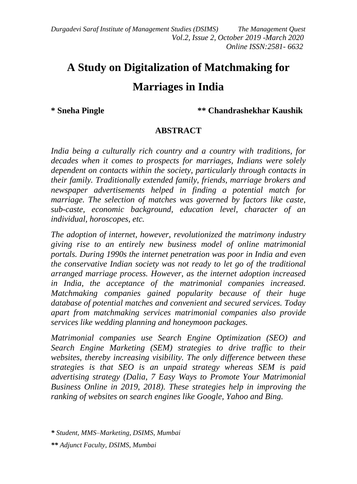*Durgadevi Saraf Institute of Management Studies (DSIMS) The Management Quest Vol.2, Issue 2, October 2019 -March 2020 Online ISSN:2581- 6632*

# **A Study on Digitalization of Matchmaking for Marriages in India**

**\* Sneha Pingle \*\* Chandrashekhar Kaushik** 

#### **ABSTRACT**

*India being a culturally rich country and a country with traditions, for decades when it comes to prospects for marriages, Indians were solely dependent on contacts within the society, particularly through contacts in their family. Traditionally extended family, friends, marriage brokers and newspaper advertisements helped in finding a potential match for marriage. The selection of matches was governed by factors like caste, sub-caste, economic background, education level, character of an individual, horoscopes, etc.* 

*The adoption of internet, however, revolutionized the matrimony industry giving rise to an entirely new business model of online matrimonial portals. During 1990s the internet penetration was poor in India and even the conservative Indian society was not ready to let go of the traditional arranged marriage process. However, as the internet adoption increased in India, the acceptance of the matrimonial companies increased. Matchmaking companies gained popularity because of their huge database of potential matches and convenient and secured services. Today apart from matchmaking services matrimonial companies also provide services like wedding planning and honeymoon packages.* 

*Matrimonial companies use Search Engine Optimization (SEO) and Search Engine Marketing (SEM) strategies to drive traffic to their websites, thereby increasing visibility. The only difference between these strategies is that SEO is an unpaid strategy whereas SEM is paid advertising strategy (Dalia, 7 Easy Ways to Promote Your Matrimonial Business Online in 2019, 2018). These strategies help in improving the ranking of websites on search engines like Google, Yahoo and Bing.*

*<sup>\*</sup> Student, MMS–Marketing, DSIMS, Mumbai*

*<sup>\*\*</sup> Adjunct Faculty, DSIMS, Mumbai*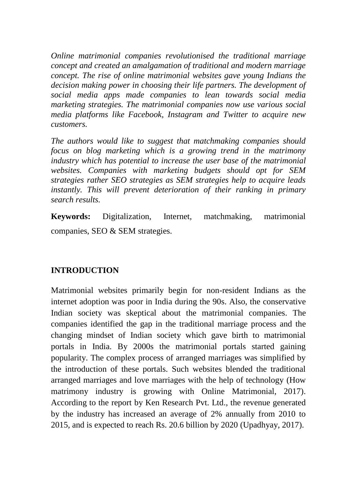*Online matrimonial companies revolutionised the traditional marriage concept and created an amalgamation of traditional and modern marriage concept. The rise of online matrimonial websites gave young Indians the decision making power in choosing their life partners. The development of social media apps made companies to lean towards social media marketing strategies. The matrimonial companies now use various social media platforms like Facebook, Instagram and Twitter to acquire new customers.* 

*The authors would like to suggest that matchmaking companies should focus on blog marketing which is a growing trend in the matrimony industry which has potential to increase the user base of the matrimonial websites. Companies with marketing budgets should opt for SEM strategies rather SEO strategies as SEM strategies help to acquire leads instantly. This will prevent deterioration of their ranking in primary search results.*

**Keywords:** Digitalization, Internet, matchmaking, matrimonial companies, SEO & SEM strategies.

#### **INTRODUCTION**

Matrimonial websites primarily begin for non-resident Indians as the internet adoption was poor in India during the 90s. Also, the conservative Indian society was skeptical about the matrimonial companies. The companies identified the gap in the traditional marriage process and the changing mindset of Indian society which gave birth to matrimonial portals in India. By 2000s the matrimonial portals started gaining popularity. The complex process of arranged marriages was simplified by the introduction of these portals. Such websites blended the traditional arranged marriages and love marriages with the help of technology (How matrimony industry is growing with Online Matrimonial, 2017). According to the report by Ken Research Pvt. Ltd., the revenue generated by the industry has increased an average of 2% annually from 2010 to 2015, and is expected to reach Rs. 20.6 billion by 2020 (Upadhyay, 2017).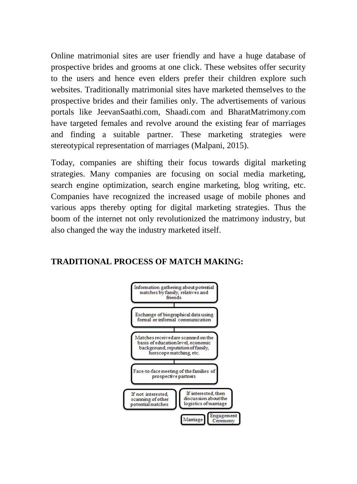Online matrimonial sites are user friendly and have a huge database of prospective brides and grooms at one click. These websites offer security to the users and hence even elders prefer their children explore such websites. Traditionally matrimonial sites have marketed themselves to the prospective brides and their families only. The advertisements of various portals like JeevanSaathi.com, Shaadi.com and BharatMatrimony.com have targeted females and revolve around the existing fear of marriages and finding a suitable partner. These marketing strategies were stereotypical representation of marriages (Malpani, 2015).

Today, companies are shifting their focus towards digital marketing strategies. Many companies are focusing on social media marketing, search engine optimization, search engine marketing, blog writing, etc. Companies have recognized the increased usage of mobile phones and various apps thereby opting for digital marketing strategies. Thus the boom of the internet not only revolutionized the matrimony industry, but also changed the way the industry marketed itself.

#### **TRADITIONAL PROCESS OF MATCH MAKING:**

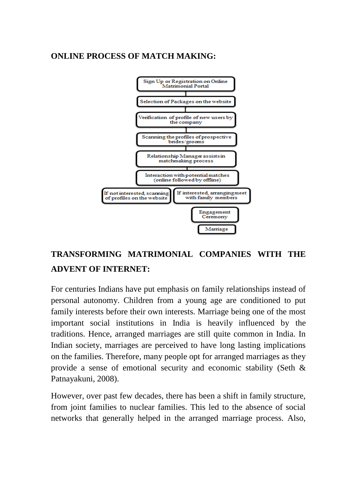# **ONLINE PROCESS OF MATCH MAKING:**



# **TRANSFORMING MATRIMONIAL COMPANIES WITH THE ADVENT OF INTERNET:**

For centuries Indians have put emphasis on family relationships instead of personal autonomy. Children from a young age are conditioned to put family interests before their own interests. Marriage being one of the most important social institutions in India is heavily influenced by the traditions. Hence, arranged marriages are still quite common in India. In Indian society, marriages are perceived to have long lasting implications on the families. Therefore, many people opt for arranged marriages as they provide a sense of emotional security and economic stability (Seth & Patnayakuni, 2008).

However, over past few decades, there has been a shift in family structure, from joint families to nuclear families. This led to the absence of social networks that generally helped in the arranged marriage process. Also,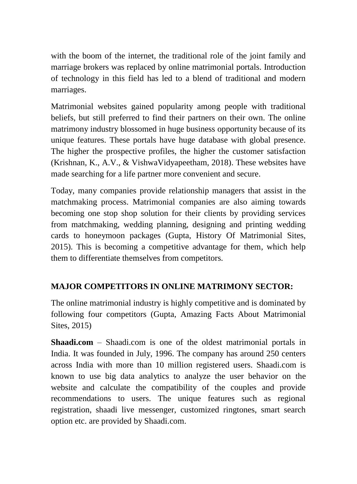with the boom of the internet, the traditional role of the joint family and marriage brokers was replaced by online matrimonial portals. Introduction of technology in this field has led to a blend of traditional and modern marriages.

Matrimonial websites gained popularity among people with traditional beliefs, but still preferred to find their partners on their own. The online matrimony industry blossomed in huge business opportunity because of its unique features. These portals have huge database with global presence. The higher the prospective profiles, the higher the customer satisfaction (Krishnan, K., A.V., & VishwaVidyapeetham, 2018). These websites have made searching for a life partner more convenient and secure.

Today, many companies provide relationship managers that assist in the matchmaking process. Matrimonial companies are also aiming towards becoming one stop shop solution for their clients by providing services from matchmaking, wedding planning, designing and printing wedding cards to honeymoon packages (Gupta, History Of Matrimonial Sites, 2015). This is becoming a competitive advantage for them, which help them to differentiate themselves from competitors.

# **MAJOR COMPETITORS IN ONLINE MATRIMONY SECTOR:**

The online matrimonial industry is highly competitive and is dominated by following four competitors (Gupta, Amazing Facts About Matrimonial Sites, 2015)

**Shaadi.com** – Shaadi.com is one of the oldest matrimonial portals in India. It was founded in July, 1996. The company has around 250 centers across India with more than 10 million registered users. Shaadi.com is known to use big data analytics to analyze the user behavior on the website and calculate the compatibility of the couples and provide recommendations to users. The unique features such as regional registration, shaadi live messenger, customized ringtones, smart search option etc. are provided by Shaadi.com.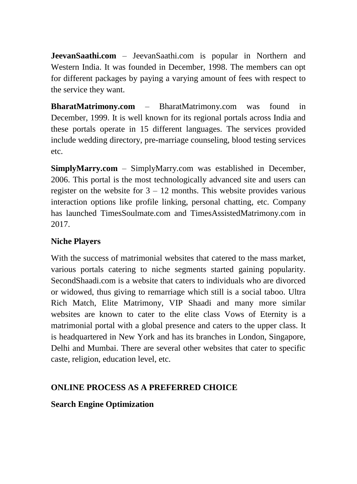**JeevanSaathi.com** – JeevanSaathi.com is popular in Northern and Western India. It was founded in December, 1998. The members can opt for different packages by paying a varying amount of fees with respect to the service they want.

**BharatMatrimony.com** – BharatMatrimony.com was found in December, 1999. It is well known for its regional portals across India and these portals operate in 15 different languages. The services provided include wedding directory, pre-marriage counseling, blood testing services etc.

**SimplyMarry.com** – SimplyMarry.com was established in December, 2006. This portal is the most technologically advanced site and users can register on the website for  $3 - 12$  months. This website provides various interaction options like profile linking, personal chatting, etc. Company has launched TimesSoulmate.com and TimesAssistedMatrimony.com in 2017.

# **Niche Players**

With the success of matrimonial websites that catered to the mass market, various portals catering to niche segments started gaining popularity. SecondShaadi.com is a website that caters to individuals who are divorced or widowed, thus giving to remarriage which still is a social taboo. Ultra Rich Match, Elite Matrimony, VIP Shaadi and many more similar websites are known to cater to the elite class Vows of Eternity is a matrimonial portal with a global presence and caters to the upper class. It is headquartered in New York and has its branches in London, Singapore, Delhi and Mumbai. There are several other websites that cater to specific caste, religion, education level, etc.

# **ONLINE PROCESS AS A PREFERRED CHOICE**

# **Search Engine Optimization**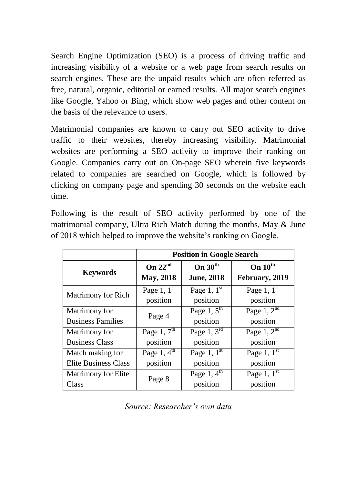Search Engine Optimization (SEO) is a process of driving traffic and increasing visibility of a website or a web page from search results on search engines. These are the unpaid results which are often referred as free, natural, organic, editorial or earned results. All major search engines like Google, Yahoo or Bing, which show web pages and other content on the basis of the relevance to users.

Matrimonial companies are known to carry out SEO activity to drive traffic to their websites, thereby increasing visibility. Matrimonial websites are performing a SEO activity to improve their ranking on Google. Companies carry out on On-page SEO wherein five keywords related to companies are searched on Google, which is followed by clicking on company page and spending 30 seconds on the website each time.

Following is the result of SEO activity performed by one of the matrimonial company, Ultra Rich Match during the months, May & June of 2018 which helped to improve the website's ranking on Google.

|                             | <b>Position in Google Search</b> |                         |                         |
|-----------------------------|----------------------------------|-------------------------|-------------------------|
| <b>Keywords</b>             | On $22nd$                        | On $30^{\text{th}}$     | On $10^{\text{th}}$     |
|                             | <b>May, 2018</b>                 | <b>June, 2018</b>       | February, 2019          |
| Matrimony for Rich          | Page 1, $1^{\text{st}}$          | Page 1, $1^{\text{st}}$ | Page 1, $1^{\text{st}}$ |
|                             | position                         | position                | position                |
| Matrimony for               | Page 4                           | Page 1, $5^{\text{th}}$ | Page $1, 2nd$           |
| <b>Business Families</b>    |                                  | position                | position                |
| Matrimony for               | Page 1, $7th$                    | Page 1, $3rd$           | Page 1, $2nd$           |
| <b>Business Class</b>       | position                         | position                | position                |
| Match making for            | Page 1, $4^{\text{th}}$          | Page 1, $1^{\text{st}}$ | Page 1, $1^{\text{st}}$ |
| <b>Elite Business Class</b> | position                         | position                | position                |
| <b>Matrimony for Elite</b>  | Page 8                           | Page 1, $4th$           | Page 1, $1^{\text{st}}$ |
| Class                       |                                  | position                | position                |

*Source: Researcher's own data*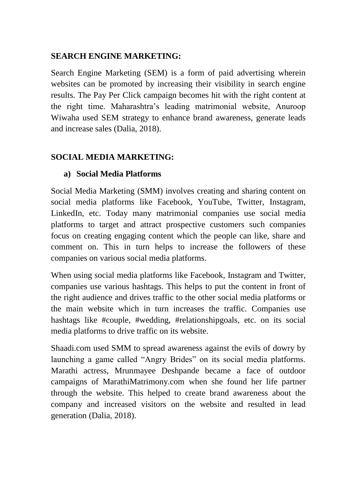#### **SEARCH ENGINE MARKETING:**

Search Engine Marketing (SEM) is a form of paid advertising wherein websites can be promoted by increasing their visibility in search engine results. The Pay Per Click campaign becomes hit with the right content at the right time. Maharashtra's leading matrimonial website, Anuroop Wiwaha used SEM strategy to enhance brand awareness, generate leads and increase sales (Dalia, 2018).

#### **SOCIAL MEDIA MARKETING:**

#### **a) Social Media Platforms**

Social Media Marketing (SMM) involves creating and sharing content on social media platforms like Facebook, YouTube, Twitter, Instagram, LinkedIn, etc. Today many matrimonial companies use social media platforms to target and attract prospective customers such companies focus on creating engaging content which the people can like, share and comment on. This in turn helps to increase the followers of these companies on various social media platforms.

When using social media platforms like Facebook, Instagram and Twitter, companies use various hashtags. This helps to put the content in front of the right audience and drives traffic to the other social media platforms or the main website which in turn increases the traffic. Companies use hashtags like #couple, #wedding, #relationshipgoals, etc. on its social media platforms to drive traffic on its website.

Shaadi.com used SMM to spread awareness against the evils of dowry by launching a game called "Angry Brides" on its social media platforms. Marathi actress, Mrunmayee Deshpande became a face of outdoor campaigns of MarathiMatrimony.com when she found her life partner through the website. This helped to create brand awareness about the company and increased visitors on the website and resulted in lead generation (Dalia, 2018).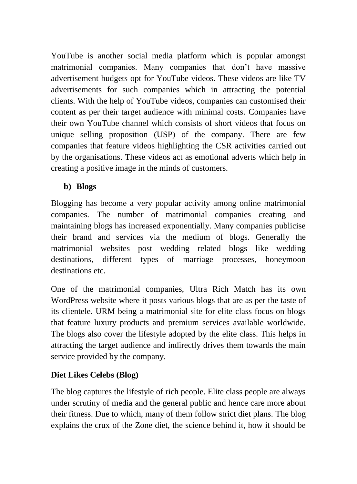YouTube is another social media platform which is popular amongst matrimonial companies. Many companies that don't have massive advertisement budgets opt for YouTube videos. These videos are like TV advertisements for such companies which in attracting the potential clients. With the help of YouTube videos, companies can customised their content as per their target audience with minimal costs. Companies have their own YouTube channel which consists of short videos that focus on unique selling proposition (USP) of the company. There are few companies that feature videos highlighting the CSR activities carried out by the organisations. These videos act as emotional adverts which help in creating a positive image in the minds of customers.

#### **b) Blogs**

Blogging has become a very popular activity among online matrimonial companies. The number of matrimonial companies creating and maintaining blogs has increased exponentially. Many companies publicise their brand and services via the medium of blogs. Generally the matrimonial websites post wedding related blogs like wedding destinations, different types of marriage processes, honeymoon destinations etc.

One of the matrimonial companies, Ultra Rich Match has its own WordPress website where it posts various blogs that are as per the taste of its clientele. URM being a matrimonial site for elite class focus on blogs that feature luxury products and premium services available worldwide. The blogs also cover the lifestyle adopted by the elite class. This helps in attracting the target audience and indirectly drives them towards the main service provided by the company.

# **Diet Likes Celebs (Blog)**

The blog captures the lifestyle of rich people. Elite class people are always under scrutiny of media and the general public and hence care more about their fitness. Due to which, many of them follow strict diet plans. The blog explains the crux of the Zone diet, the science behind it, how it should be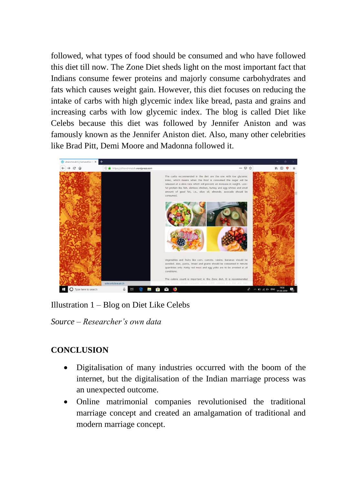followed, what types of food should be consumed and who have followed this diet till now. The Zone Diet sheds light on the most important fact that Indians consume fewer proteins and majorly consume carbohydrates and fats which causes weight gain. However, this diet focuses on reducing the intake of carbs with high glycemic index like bread, pasta and grains and increasing carbs with low glycemic index. The blog is called Diet like Celebs because this diet was followed by Jennifer Aniston and was famously known as the Jennifer Aniston diet. Also, many other celebrities like Brad Pitt, Demi Moore and Madonna followed it.



Illustration 1 – Blog on Diet Like Celebs

*Source – Researcher's own data*

# **CONCLUSION**

- Digitalisation of many industries occurred with the boom of the internet, but the digitalisation of the Indian marriage process was an unexpected outcome.
- Online matrimonial companies revolutionised the traditional marriage concept and created an amalgamation of traditional and modern marriage concept.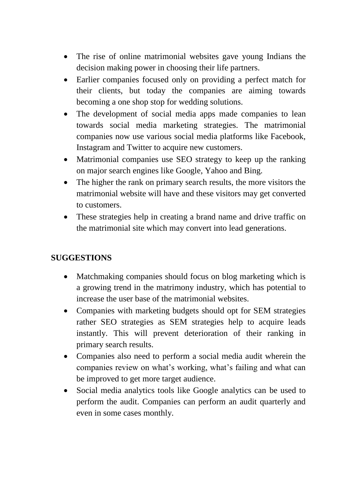- The rise of online matrimonial websites gave young Indians the decision making power in choosing their life partners.
- Earlier companies focused only on providing a perfect match for their clients, but today the companies are aiming towards becoming a one shop stop for wedding solutions.
- The development of social media apps made companies to lean towards social media marketing strategies. The matrimonial companies now use various social media platforms like Facebook, Instagram and Twitter to acquire new customers.
- Matrimonial companies use SEO strategy to keep up the ranking on major search engines like Google, Yahoo and Bing.
- The higher the rank on primary search results, the more visitors the matrimonial website will have and these visitors may get converted to customers.
- These strategies help in creating a brand name and drive traffic on the matrimonial site which may convert into lead generations.

#### **SUGGESTIONS**

- Matchmaking companies should focus on blog marketing which is a growing trend in the matrimony industry, which has potential to increase the user base of the matrimonial websites.
- Companies with marketing budgets should opt for SEM strategies rather SEO strategies as SEM strategies help to acquire leads instantly. This will prevent deterioration of their ranking in primary search results.
- Companies also need to perform a social media audit wherein the companies review on what's working, what's failing and what can be improved to get more target audience.
- Social media analytics tools like Google analytics can be used to perform the audit. Companies can perform an audit quarterly and even in some cases monthly.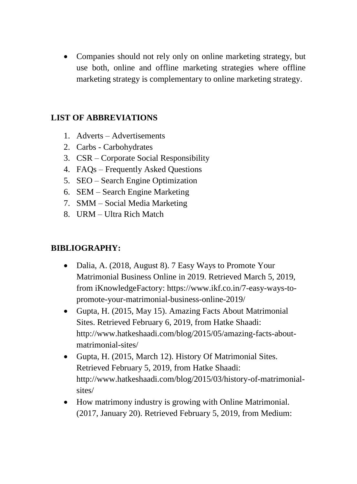• Companies should not rely only on online marketing strategy, but use both, online and offline marketing strategies where offline marketing strategy is complementary to online marketing strategy.

#### **LIST OF ABBREVIATIONS**

- 1. Adverts Advertisements
- 2. Carbs Carbohydrates
- 3. CSR Corporate Social Responsibility
- 4. FAQs Frequently Asked Questions
- 5. SEO Search Engine Optimization
- 6. SEM Search Engine Marketing
- 7. SMM Social Media Marketing
- 8. URM Ultra Rich Match

# **BIBLIOGRAPHY:**

- Dalia, A. (2018, August 8). 7 Easy Ways to Promote Your Matrimonial Business Online in 2019. Retrieved March 5, 2019, from iKnowledgeFactory: https://www.ikf.co.in/7-easy-ways-topromote-your-matrimonial-business-online-2019/
- Gupta, H. (2015, May 15). Amazing Facts About Matrimonial Sites. Retrieved February 6, 2019, from Hatke Shaadi: http://www.hatkeshaadi.com/blog/2015/05/amazing-facts-aboutmatrimonial-sites/
- Gupta, H. (2015, March 12). History Of Matrimonial Sites. Retrieved February 5, 2019, from Hatke Shaadi: http://www.hatkeshaadi.com/blog/2015/03/history-of-matrimonialsites/
- How matrimony industry is growing with Online Matrimonial. (2017, January 20). Retrieved February 5, 2019, from Medium: